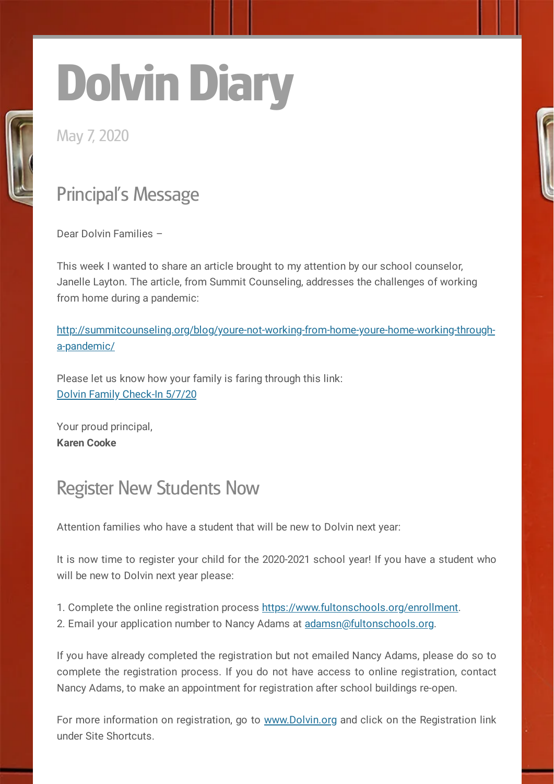# Dolvin Diary

May 7, 2020

# Principal's Message

Dear Dolvin Families –

This week I wanted to share an article brought to my attention by our school counselor, Janelle Layton. The article, from Summit Counseling, addresses the challenges of working from home during a pandemic:

[http://summitcounseling.org/blog/youre-not-working-from-home-youre-home-working-through](http://summitcounseling.org/blog/youre-not-working-from-home-youre-home-working-through-a-pandemic/)a-pandemic/

Please let us know how your family is faring through this link: Dolvin Family [Check-In](https://docs.google.com/forms/d/e/1FAIpQLSe3P5F5Rp5wr1ihCWRfLsltCzP7tP6fL2UVLzOc2DWpBcUg6A/viewform) 5/7/20

Your proud principal, **Karen Cooke**

#### Register New Students Now

Attention families who have a student that will be new to Dolvin next year:

It is now time to register your child for the 2020-2021 school year! If you have a student who will be new to Dolvin next year please:

1. Complete the online registration process [https://www.fultonschools.org/enrollment.](https://www.fultonschools.org/enrollment) 2. Email your application number to Nancy Adams at [adamsn@fultonschools.org.](mailto:adamsn@fultonschools.org)

If you have already completed the registration but not emailed Nancy Adams, please do so to complete the registration process. If you do not have access to online registration, contact Nancy Adams, to make an appointment for registration after school buildings re-open.

For more information on registration, go to [www.Dolvin.org](http://www.dolvin.org/) and click on the Registration link under Site Shortcuts.